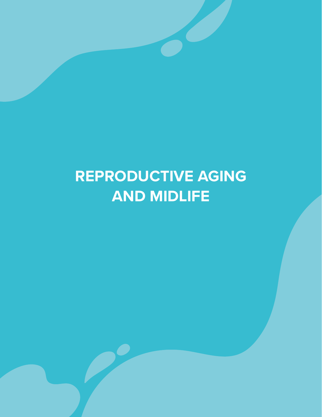# **REPRODUCTIVE AGING AND MIDLIFE**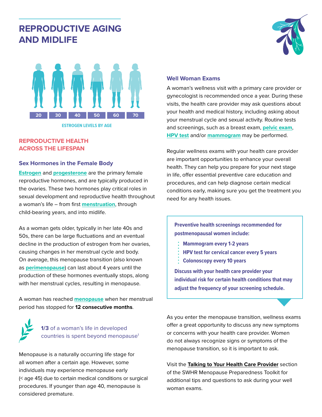## **REPRODUCTIVE AGING AND MIDLIFE**



**ESTROGEN LEVELS BY AGE**

#### **REPRODUCTIVE HEALTH ACROSS THE LIFESPAN**

#### **Sex Hormones in the Female Body**

**Estrogen** and **progesterone** are the primary female reproductive hormones, and are typically produced in the ovaries. These two hormones play critical roles in sexual development and reproductive health throughout a woman's life – from first **menstruation**, through child-bearing years, and into midlife.

As a woman gets older, typically in her late 40s and 50s, there can be large fluctuations and an eventual decline in the production of estrogen from her ovaries, causing changes in her menstrual cycle and body. On average, this menopause transition (also known as **perimenopause**) can last about 4 years until the production of these hormones eventually stops, along with her menstrual cycles, resulting in menopause.

A woman has reached **menopause** when her menstrual period has stopped for **12 consecutive months**.



Menopause is a naturally occurring life stage for all women after a certain age. However, some individuals may experience menopause early (< age 45) due to certain medical conditions or surgical procedures. If younger than age 40, menopause is considered premature.



#### **Well Woman Exams**

A woman's wellness visit with a primary care provider or gynecologist is recommended once a year. During these visits, the health care provider may ask questions about your health and medical history, including asking about your menstrual cycle and sexual activity. Routine tests and screenings, such as a breast exam, **pelvic exam**, **HPV test** and/or **mammogram** may be performed.

Regular wellness exams with your health care provider are important opportunities to enhance your overall health. They can help you prepare for your next stage in life, offer essential preventive care education and procedures, and can help diagnose certain medical conditions early, making sure you get the treatment you need for any health issues.

**Preventive health screenings recommended for postmenopausal women include:**

- **Mammogram every 1-2 years**
- **HPV test for cervical cancer every 5 years**
- **Colonoscopy every 10 years**

**Discuss with your health care provider your individual risk for certain health conditions that may adjust the frequency of your screening schedule.**

As you enter the menopause transition, wellness exams offer a great opportunity to discuss any new symptoms or concerns with your health care provider. Women do not always recognize signs or symptoms of the menopause transition, so it is important to ask.

Visit the **Talking to Your Health Care Provider** section of the SWHR Menopause Preparedness Toolkit for additional tips and questions to ask during your well woman exams.